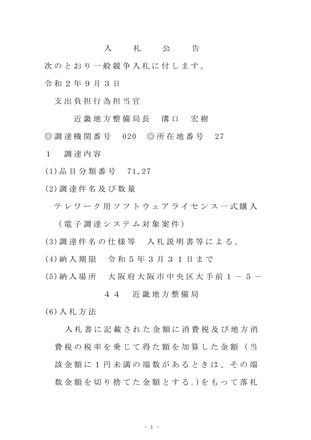## 入 札 公 告

次のとおり一般競争入札に付します。

令 和 2 年 9 月 3 日

支 出 負 担 行 為 担 当 官

近 畿 地 方 整 備 局 長 溝 口 宏 樹 ◎ 調 達 機 関 番 号 020 ◎ 所 在 地 番 号 27

1 調 達 内 容

(1)品 目 分 類 番 号 71,27

(2)調 達 件 名 及 び 数 量

テレワーク用ソフトウェアライセンス一式購入

( 電 子 調 達 シ ス テ ム 対 象 案 件 )

(3)調 達 件 名 の 仕 様 等 入 札 説 明 書 等 に よ る 。

(4)納 入 期 限 令 和 5 年 3 月 3 1 日 ま で

(5) 納 入 場 所 大 阪 府 大 阪 市 中 央 区 大 手 前 1 - 5 -

## 4 4 近 畿 地 方 整 備 局

(6)入 札 方 法

入札 書 に 記 載 さ れ た 金 額 に 消 費 税 及 び 地 方 消 費 税 の 税 率 を 乗 じ て 得 た 額 を 加 算 し た 金 額 ( 当 該 金 額 に 1 円 未 満 の 端 数 が あ る と き は 、 そ の 端 数 金 額 を 切 り 捨 て た 金 額 と す る 。)を も っ て 落 札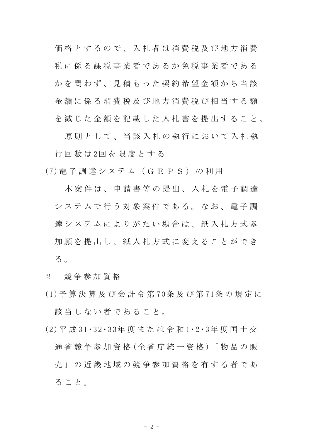価格とするので、入札者は消費税及び地方消費 税に係る課税事業者であるか免税事業者である かを問わず、見積もった契約希望金額から当該 金 額 に 係 る 消 費 税 及 び 地 方 消 費 税 び 相 当 す る 額 を減じた金額を記載した入札書を提出すること。

原則として、当該入札の執行において入札執 行 回 数 は 2回 を 限 度 と す る

(7)電 子 調 達 シ ス テ ム ( G E P S ) の 利 用

本 案 件 は、 申 請 書 等 の 提 出 、 入 札 を 電 子 調 達 システムで行う対象案件である。なお、電子調 達 シ ス テ ム に よ り が た い 場 合 は 、 紙 入 札 方 式 参 加 願 を 提 出 し 、 紙 入 札 方 式 に 変 え る こ と が で き る 。

- 2 競 争 参 加 資 格
- (1)予 算 決 算 及 び 会 計 令 第 70条 及 び 第 71条 の 規 定 に 該当しない者であること。
- (2)平 成 31・32・33年 度 ま た は 令 和 1・2・3年 度 国 土 交 通 省 競 争 参 加 資 格 ( 全 省 庁 統 一 資 格 ) 「 物 品 の 販 売 」 の 近 畿 地 域 の 競 争 参 加 資 格 を 有 す る 者 で あ る こ と 。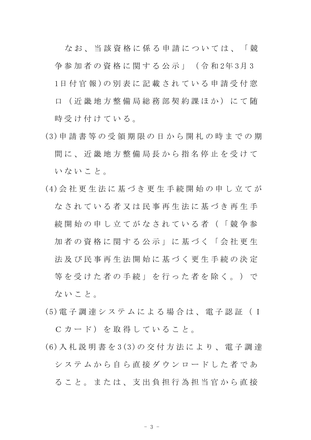な お 、 当 該 資 格 に 係 る 申 請 に つ い て は 、 「 競 争 参 加 者 の 資 格 に 関 す る 公 示 」 ( 令 和 2年 3月 3 1日 付 官 報 )の 別 表 に 記 載 さ れ て い る 申 請 受 付 窓 口 ( 近 畿 地 方 整 備 局 総 務 部 契 約 課 ほ か ) に て 随 時受け付けている。

- (3)申 請 書 等 の 受 領 期 限 の 日 か ら 開 札 の 時 ま で の 期 間 に 、 近 畿 地 方 整 備 局 長 か ら 指 名 停 止 を 受 け て いないこと。
- (4)会 社 更 生 法 に 基 づ き 更 生 手 続 開 始 の 申 し 立 て が なされている者又は民事再生法に基づき再生手 続 開 始 の 申 し 立 て が な さ れ て い る 者 ( 「 競 争 参 加者の資格に関する公示」に基づく「会社更生 法 及 び 民 事 再 生 法 開 始 に 基 づ く 更 生 手 続 の 決 定 等を受けた者の手続」を行った者を除く。)で ないこと。
- (5)電 子 調 達 シ ス テ ム に よ る 場 合 は 、 電 子 認 証 ( I C カード) を取得していること。
- (6)入 札 説 明 書 を 3(3)の 交 付 方 法 に よ り 、 電 子 調 達 システムから自ら直接ダウンロードした者であ る こ と 。 ま た は 、 支 出 負 担 行 為 担 当 官 か ら 直 接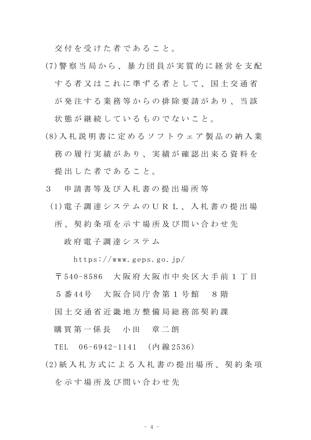交付を受けた者であること。

- (7)警 察 当 局 か ら 、 暴 力 団 員 が 実 質 的 に 経 営 を 支 配 する者又はこれに準ずる者として、国土交通省 が発注する業務等からの排除要請があり、当該 状態が継続しているものでないこと。
- (8)入 札 説 明 書 に 定 め る ソ フ ト ウ ェ ア 製 品 の 納 入 業 務 の 履 行 実 績 が あ り 、 実 績 が 確 認 出 来 る 資 料 を 提 出 し た 者 で あ る こ と 。
- 3 申 請 書 等 及 び 入 札 書 の 提 出 場 所 等
- (1)電 子 調 達 シ ス テ ム の U R L 、 入 札 書 の 提 出 場

所、契約条項を示す場所及び問い合わせ先

政 府 電 子 調 達 シ ス テ ム

https://www.geps.go.jp/

〒 540-8586 大 阪 府 大 阪 市 中 央 区 大 手 前 1 丁 目

5 番 44号 大 阪 合 同 庁 舎 第 1 号 館 8 階

国 土 交 通 省 近 畿 地 方 整 備 局 総 務 部 契 約 課

購 買 第 一 係 長 一 小 田 章 二 朗

TEL 06-6942-1141 (内線 2536)

(2)紙 入 札 方 式 に よ る 入 札 書 の 提 出 場 所 、 契 約 条 項 を 示 す 場 所 及 び 問 い 合 わ せ 先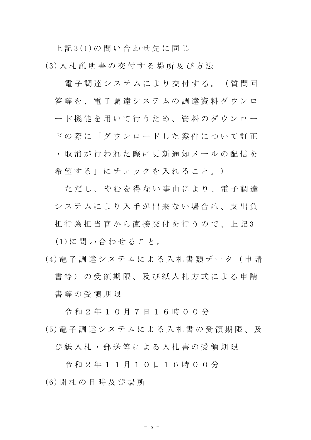上 記 3(1)の 問 い 合 わ せ 先 に 同 じ

(3)入 札 説 明 書 の 交 付 す る 場 所 及 び 方 法

電子調達システムにより交付する。(質問回 答等を、 電子調達システムの調達資料ダウンロ ード機能を用いて行うため、資料のダウンロー ド の 際 に 「 ダ ウ ン ロ ー ド し た 案 件 に つ い て 訂 正 ・ 取 消 が 行 わ れ た 際 に 更 新 通 知 メ ー ル の 配 信 を 希望する」にチェックを入れること。)

ただし、やむを得ない事由により、電子調達 シ ス テ ム に よ り 入 手 が 出 来 な い 場 合 は 、 支 出 負 担 行 為 担 当 官 か ら 直 接 交 付 を 行 う の で 、 上 記 3 (1)に 問 い 合 わ せ る こ と 。

(4)電 子 調 達 シ ス テ ム に よ る 入 札 書 類 デ ー タ ( 申 請 書 等 ) の 受 領 期 限 、 及 び 紙 入 札 方 式 に よ る 申 請 書 等 の 受 領 期 限

令 和 2 年 1 0 月 7 日 1 6 時 0 0 分 (5)電 子 調 達 シ ス テ ム に よ る 入 札 書 の 受 領 期 限 、 及

び 紙 入 札 ・ 郵 送 等 に よ る 入 札 書 の 受 領 期 限

令 和 2 年 1 1 月 1 0 日 1 6 時 0 0 分 (6)開 札 の 日 時 及 び 場 所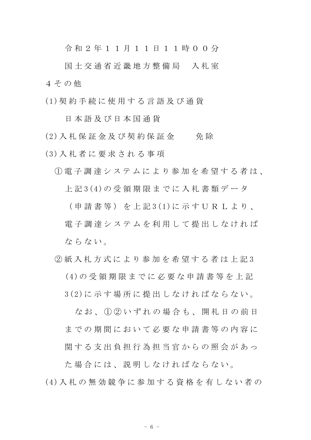令 和 2 年 1 1 月 1 1 日 1 1 時 0 0 分

国 十 交 通 省 近 畿 地 方 整 備 局 入 札 室 4 そ の 他

(1)契 約 手 続 に 使 用 す る 言 語 及 び 通 貨

日 本 語 及 び 日 本 国 通 貨

(2)入札 保 証 金 及 び 契 約 保 証 金 < < < 免 除

(3)入 札 者 に 要 求 さ れ る 事 項

① 電 子 調 達 シ ス テ ム に よ り 参 加 を 希 望 す る 者 は 、 上 記 3(4)の 受 領 期 限 ま で に 入 札 書 類 デ ー タ

( 申 請 書 等 ) を 上 記 3(1)に 示 す U R L よ り 、 電子調達システムを利用して提出しなければ ならない。

② 紙 入 札 方 式 に よ り 参 加 を 希 望 す る 者 は 上 記 3 (4)の 受 領 期 限 ま で に 必 要 な 申 請 書 等 を 上 記 3(2)に 示 す 場 所 に 提 出 し な け れ ば な ら な い 。

なお、1020いずれの場合も、開札日の前日 までの期間において必要な申請書等の内容に 関する支出負担行為担当官からの照会があっ

た 場 合 に は 、 説 明 し な け れ ば な ら な い 。 (4)入 札 の 無 効 競 争 に 参 加 す る 資 格 を 有 し な い 者 の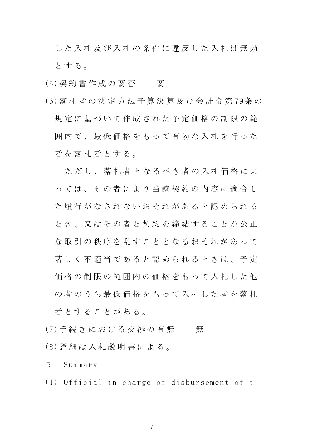した入札及び入札の条件に違反した入札は無効 と す る 。

- (5) 契 約 書 作 成 の 要 否 要
- (6)落 札 者 の 決 定 方 法 予 算 決 算 及 び 会 計 令 第 79条 の 規 定 に 基 づ い て 作 成 さ れ た 予 定 価 格 の 制 限 の 範 囲内で、最低価格をもって有効な入札を行った 者を落札者とする。

ただし、落札者となるべき者の入札価格によ っ て は 、 そ の 者 に よ り 当 該 契 約 の 内 容 に 適 合 し た 履 行 が な さ れ な い お そ れ が あ る と 認 め ら れ る とき、又はその者と契約を締結することが公正 な取引の秩序を乱すこととなるおそれがあって 著 しく 不 適 当 で あ る と 認 め ら れ る と き は 、 予 定 価格の制限の範囲内の価格をもって入札した他 の 者 の う ち 最 低 価 格 を も っ て 入 札 し た 者 を 落 札 者とすることがある。

- (7) 手続 き に お け る 交 渉 の 有 無 無
- (8)詳 細 は 入 札 説 明 書 に よ る 。
- 5 Summary
- (1) Official in charge of disbursement of t-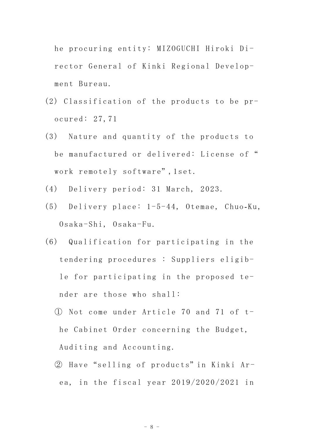he procuring entity: MIZOGUCHI Hiroki Director General of Kinki Regional Development Bureau.

- (2) Classification of the products to be procured: 27,71
- (3) Nature and quantity of the products to be manufactured or delivered: License of " work remotely software" ,1set.
- (4) Delivery period: 31 March, 2023.
- (5) Delivery place: 1-5-44, Otemae, Chuo-Ku, Osaka-Shi, Osaka-Fu.
- (6) Qualification for participating in the tendering procedures : Suppliers eligible for participating in the proposed tender are those who shall:
	- ① Not come under Article 70 and 71 of the Cabinet Order concerning the Budget, Auditing and Accounting.
	- ② Have "selling of products" in Kinki Area, in the fiscal year 2019/2020/2021 in

- 8 -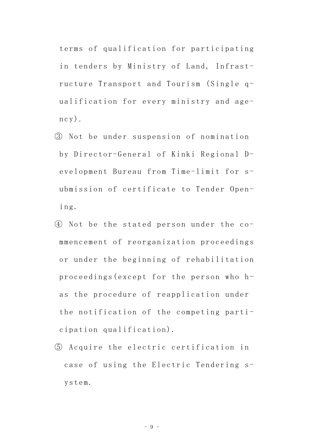terms of qualification for participating in tenders by Ministry of Land, Infrastructure Transport and Tourism (Single qualification for every ministry and age $ncy)$ .

- ③ Not be under suspension of nomination by Director-General of Kinki Regional Development Bureau from Time-limit for submission of certificate to Tender Opening.
- ④ Not be the stated person under the commencement of reorganization proceedings or under the beginning of rehabilitation proceedings(except for the person who has the procedure of reapplication under the notification of the competing participation qualification).
- ⑤ Acquire the electric certification in case of using the Electric Tendering system.

- 9 -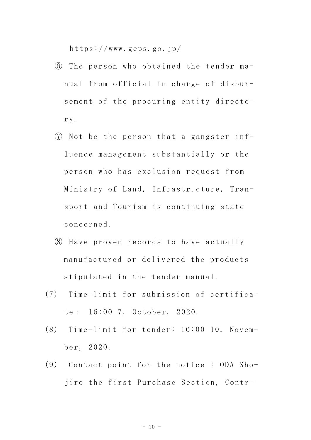https://www.geps.go.jp/

- ⑥ The person who obtained the tender manual from official in charge of disbursement of the procuring entity directory.
- ⑦ Not be the person that a gangster influence management substantially or the person who has exclusion request from Ministry of Land, Infrastructure, Transport and Tourism is continuing state concerned.
- ⑧ Have proven records to have actually manufactured or delivered the products stipulated in the tender manual.
- (7) Time-limit for submission of certificate: 16:00 7, October, 2020.
- (8) Time-limit for tender: 16:00 10, November, 2020.
- (9) Contact point for the notice : ODA Shojiro the first Purchase Section, Contr-